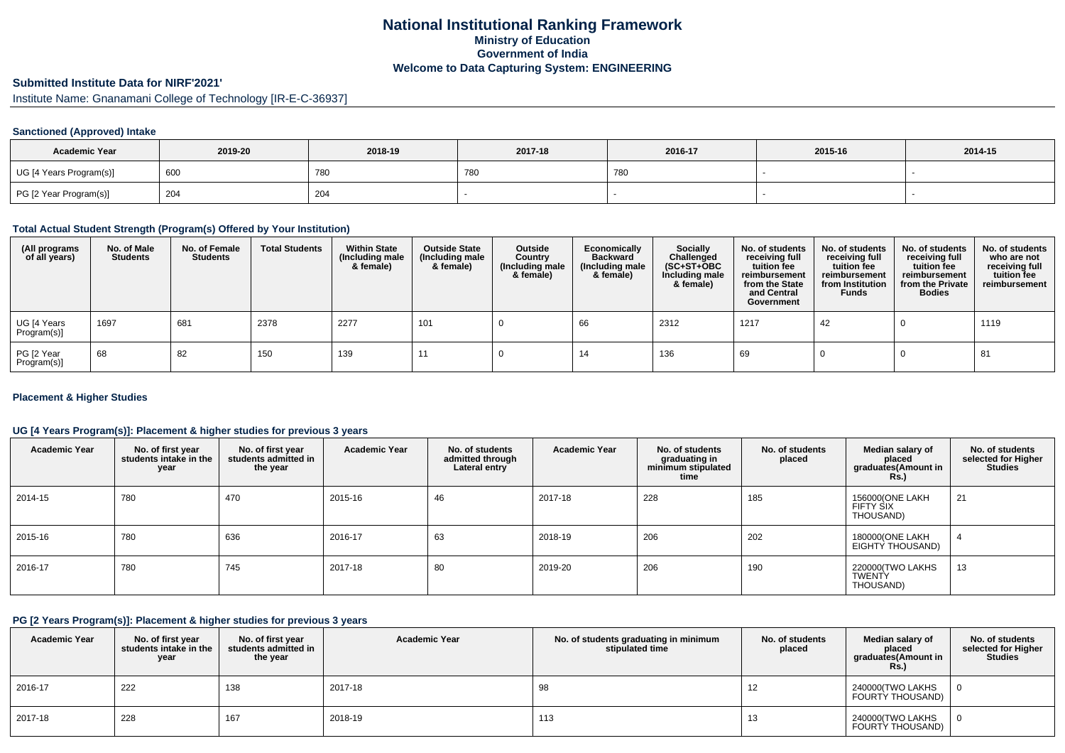## **National Institutional Ranking FrameworkMinistry of Education Government of IndiaWelcome to Data Capturing System: ENGINEERING**

# **Submitted Institute Data for NIRF'2021'**

Institute Name: Gnanamani College of Technology [IR-E-C-36937]

### **Sanctioned (Approved) Intake**

| <b>Academic Year</b>    | 2019-20        | 2018-19    | 2017-18 | 2016-17 | 2015-16 | 2014-15 |
|-------------------------|----------------|------------|---------|---------|---------|---------|
| UG [4 Years Program(s)] | $^{\circ}$ 600 | <b>780</b> | 780     | 780     |         |         |
| PG [2 Year Program(s)]  | 204            | 204        |         |         |         |         |

#### **Total Actual Student Strength (Program(s) Offered by Your Institution)**

| (All programs<br>of all years) | No. of Male<br><b>Students</b> | No. of Female<br><b>Students</b> | <b>Total Students</b> | <b>Within State</b><br>(Including male<br>& female) | <b>Outside State</b><br>(Including male<br>& female) | Outside<br>Country<br>(Including male<br>& female) | Economically<br><b>Backward</b><br>(Including male<br>& female) | Socially<br>Challenged<br>$(SC+ST+OBC)$<br>Including male<br>& female) | No. of students<br>receiving full<br>tuition fee<br>reimbursement<br>from the State<br>and Central<br>Government | No. of students<br>receiving full<br>tuition fee<br>reimbursement<br>from Institution<br><b>Funds</b> | No. of students<br>receiving full<br>tuition fee<br>reimbursement<br>from the Private<br><b>Bodies</b> | No. of students<br>who are not<br>receiving full<br>tuition fee<br>reimbursement |
|--------------------------------|--------------------------------|----------------------------------|-----------------------|-----------------------------------------------------|------------------------------------------------------|----------------------------------------------------|-----------------------------------------------------------------|------------------------------------------------------------------------|------------------------------------------------------------------------------------------------------------------|-------------------------------------------------------------------------------------------------------|--------------------------------------------------------------------------------------------------------|----------------------------------------------------------------------------------|
| UG [4 Years<br>Program(s)]     | 1697                           | 681                              | 2378                  | 2277                                                | 101                                                  |                                                    | 66                                                              | 2312                                                                   | 1217                                                                                                             | 42                                                                                                    |                                                                                                        | 1119                                                                             |
| PG [2 Year<br>Program(s)]      | 68                             | 82                               | 150                   | 139                                                 |                                                      |                                                    | 14                                                              | 136                                                                    | 69                                                                                                               |                                                                                                       |                                                                                                        | 81                                                                               |

### **Placement & Higher Studies**

### **UG [4 Years Program(s)]: Placement & higher studies for previous 3 years**

| <b>Academic Year</b> | No. of first year<br>students intake in the<br>year | No. of first year<br>students admitted in<br>the year | <b>Academic Year</b> | No. of students<br>admitted through<br>Lateral entry | <b>Academic Year</b> | No. of students<br>graduating in<br>minimum stipulated<br>time | No. of students<br>placed | Median salary of<br>placed<br>graduates(Amount in<br><b>Rs.)</b> | No. of students<br>selected for Higher<br><b>Studies</b> |
|----------------------|-----------------------------------------------------|-------------------------------------------------------|----------------------|------------------------------------------------------|----------------------|----------------------------------------------------------------|---------------------------|------------------------------------------------------------------|----------------------------------------------------------|
| 2014-15              | 780                                                 | 470                                                   | 2015-16              | 46                                                   | 2017-18              | 228                                                            | 185                       | 156000(ONE LAKH<br>FIFTY SIX<br>THOUSAND)                        | 21                                                       |
| 2015-16              | 780                                                 | 636                                                   | 2016-17              | 63                                                   | 2018-19              | 206                                                            | 202                       | 180000(ONE LAKH<br>EIGHTY THOUSAND)                              |                                                          |
| 2016-17              | 780                                                 | 745                                                   | 2017-18              | 80                                                   | 2019-20              | 206                                                            | 190                       | 220000(TWO LAKHS<br>TWENTY<br>THOUSAND)                          | 13                                                       |

#### **PG [2 Years Program(s)]: Placement & higher studies for previous 3 years**

| <b>Academic Year</b> | No. of first year<br>students intake in the<br>year | No. of first year<br>students admitted in<br>the year | <b>Academic Year</b> | No. of students graduating in minimum<br>stipulated time | No. of students<br>placed | Median salary of<br>placed<br>graduates(Amount in<br>Rs.) | No. of students<br>selected for Higher<br><b>Studies</b> |
|----------------------|-----------------------------------------------------|-------------------------------------------------------|----------------------|----------------------------------------------------------|---------------------------|-----------------------------------------------------------|----------------------------------------------------------|
| 2016-17              | 222                                                 | 138                                                   | 2017-18              | 98                                                       | 12                        | 240000(TWO LAKHS<br>FOURTY THOUSAND)                      |                                                          |
| 2017-18              | 228                                                 | 167                                                   | 2018-19              | 113                                                      | 13                        | 240000(TWO LAKHS<br>FOURTY THOUSAND)                      |                                                          |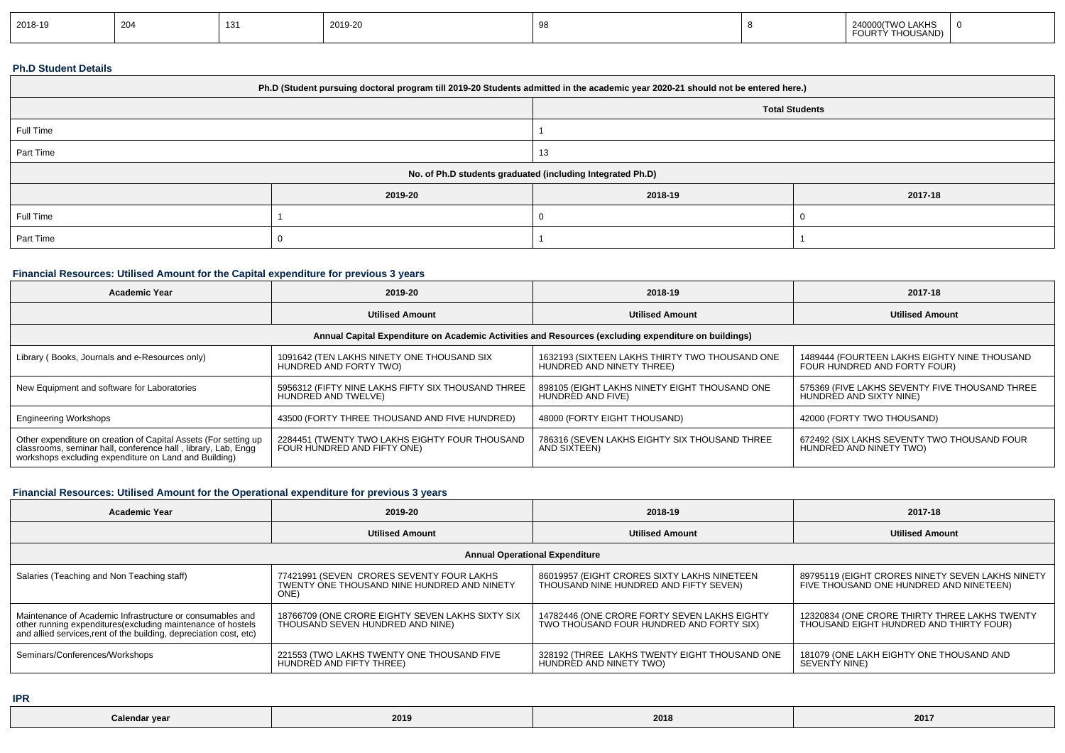#### **Ph.D Student Details**

| Ph.D (Student pursuing doctoral program till 2019-20 Students admitted in the academic year 2020-21 should not be entered here.) |                       |         |         |  |  |  |
|----------------------------------------------------------------------------------------------------------------------------------|-----------------------|---------|---------|--|--|--|
|                                                                                                                                  | <b>Total Students</b> |         |         |  |  |  |
| Full Time                                                                                                                        |                       |         |         |  |  |  |
| Part Time                                                                                                                        |                       | 13      |         |  |  |  |
| No. of Ph.D students graduated (including Integrated Ph.D)                                                                       |                       |         |         |  |  |  |
|                                                                                                                                  | 2019-20               | 2018-19 | 2017-18 |  |  |  |
| Full Time                                                                                                                        |                       |         |         |  |  |  |
| Part Time                                                                                                                        |                       |         |         |  |  |  |

## **Financial Resources: Utilised Amount for the Capital expenditure for previous 3 years**

| <b>Academic Year</b>                                                                                                                                                                   | 2019-20                                                                       | 2018-19                                                                     | 2017-18                                                                      |  |  |  |  |
|----------------------------------------------------------------------------------------------------------------------------------------------------------------------------------------|-------------------------------------------------------------------------------|-----------------------------------------------------------------------------|------------------------------------------------------------------------------|--|--|--|--|
|                                                                                                                                                                                        | <b>Utilised Amount</b>                                                        | <b>Utilised Amount</b>                                                      | <b>Utilised Amount</b>                                                       |  |  |  |  |
| Annual Capital Expenditure on Academic Activities and Resources (excluding expenditure on buildings)                                                                                   |                                                                               |                                                                             |                                                                              |  |  |  |  |
| Library (Books, Journals and e-Resources only)                                                                                                                                         | 1091642 (TEN LAKHS NINETY ONE THOUSAND SIX<br>HUNDRED AND FORTY TWO)          | 1632193 (SIXTEEN LAKHS THIRTY TWO THOUSAND ONE<br>HUNDRED AND NINETY THREE) | 1489444 (FOURTEEN LAKHS EIGHTY NINE THOUSAND<br>FOUR HUNDRED AND FORTY FOUR) |  |  |  |  |
| New Equipment and software for Laboratories                                                                                                                                            | 5956312 (FIFTY NINE LAKHS FIFTY SIX THOUSAND THREE<br>HUNDRED AND TWELVE)     | 898105 (EIGHT LAKHS NINETY EIGHT THOUSAND ONE<br>HUNDRED AND FIVE)          | 575369 (FIVE LAKHS SEVENTY FIVE THOUSAND THREE<br>HUNDRED AND SIXTY NINE)    |  |  |  |  |
| <b>Engineering Workshops</b>                                                                                                                                                           | 43500 (FORTY THREE THOUSAND AND FIVE HUNDRED)                                 | 48000 (FORTY EIGHT THOUSAND)                                                | 42000 (FORTY TWO THOUSAND)                                                   |  |  |  |  |
| Other expenditure on creation of Capital Assets (For setting up classrooms, seminar hall, conference hall, library, Lab, Engg<br>workshops excluding expenditure on Land and Building) | 2284451 (TWENTY TWO LAKHS EIGHTY FOUR THOUSAND<br>FOUR HUNDRED AND FIFTY ONE) | 786316 (SEVEN LAKHS EIGHTY SIX THOUSAND THREE<br>AND SIXTEEN)               | 672492 (SIX LAKHS SEVENTY TWO THOUSAND FOUR<br>HUNDRED AND NINETY TWO)       |  |  |  |  |

## **Financial Resources: Utilised Amount for the Operational expenditure for previous 3 years**

| <b>Academic Year</b>                                                                                                                                                                            | 2019-20                                                                                          | 2018-19                                                                                  | 2017-18                                                                                     |  |  |  |
|-------------------------------------------------------------------------------------------------------------------------------------------------------------------------------------------------|--------------------------------------------------------------------------------------------------|------------------------------------------------------------------------------------------|---------------------------------------------------------------------------------------------|--|--|--|
|                                                                                                                                                                                                 | <b>Utilised Amount</b>                                                                           | <b>Utilised Amount</b>                                                                   | <b>Utilised Amount</b>                                                                      |  |  |  |
| <b>Annual Operational Expenditure</b>                                                                                                                                                           |                                                                                                  |                                                                                          |                                                                                             |  |  |  |
| Salaries (Teaching and Non Teaching staff)                                                                                                                                                      | 77421991 (SEVEN CRORES SEVENTY FOUR LAKHS<br>TWENTY ONE THOUSAND NINE HUNDRED AND NINETY<br>ONE) | 86019957 (EIGHT CRORES SIXTY LAKHS NINETEEN<br>THOUSAND NINE HUNDRED AND FIFTY SEVEN)    | 89795119 (EIGHT CRORES NINETY SEVEN LAKHS NINETY<br>FIVE THOUSAND ONE HUNDRED AND NINETEEN) |  |  |  |
| Maintenance of Academic Infrastructure or consumables and<br>other running expenditures (excluding maintenance of hostels<br>and allied services, rent of the building, depreciation cost, etc) | 18766709 (ONE CRORE EIGHTY SEVEN LAKHS SIXTY SIX<br>THOUSAND SEVEN HUNDRED AND NINE)             | 14782446 (ONE CRORE FORTY SEVEN LAKHS EIGHTY<br>TWO THOUSAND FOUR HUNDRED AND FORTY SIX) | 12320834 (ONE CRORE THIRTY THREE LAKHS TWENTY<br>THOUSAND EIGHT HUNDRED AND THIRTY FOUR)    |  |  |  |
| Seminars/Conferences/Workshops                                                                                                                                                                  | 221553 (TWO LAKHS TWENTY ONE THOUSAND FIVE<br>HUNDRED AND FIFTY THREE)                           | 328192 (THREE LAKHS TWENTY EIGHT THOUSAND ONE<br>HUNDRED AND NINETY TWO)                 | 181079 (ONE LAKH EIGHTY ONE THOUSAND AND<br>SEVENTY NINE)                                   |  |  |  |

**IPR**

| 2017<br>2018<br>2019<br>Calendar year |  |  |  |  |
|---------------------------------------|--|--|--|--|
|---------------------------------------|--|--|--|--|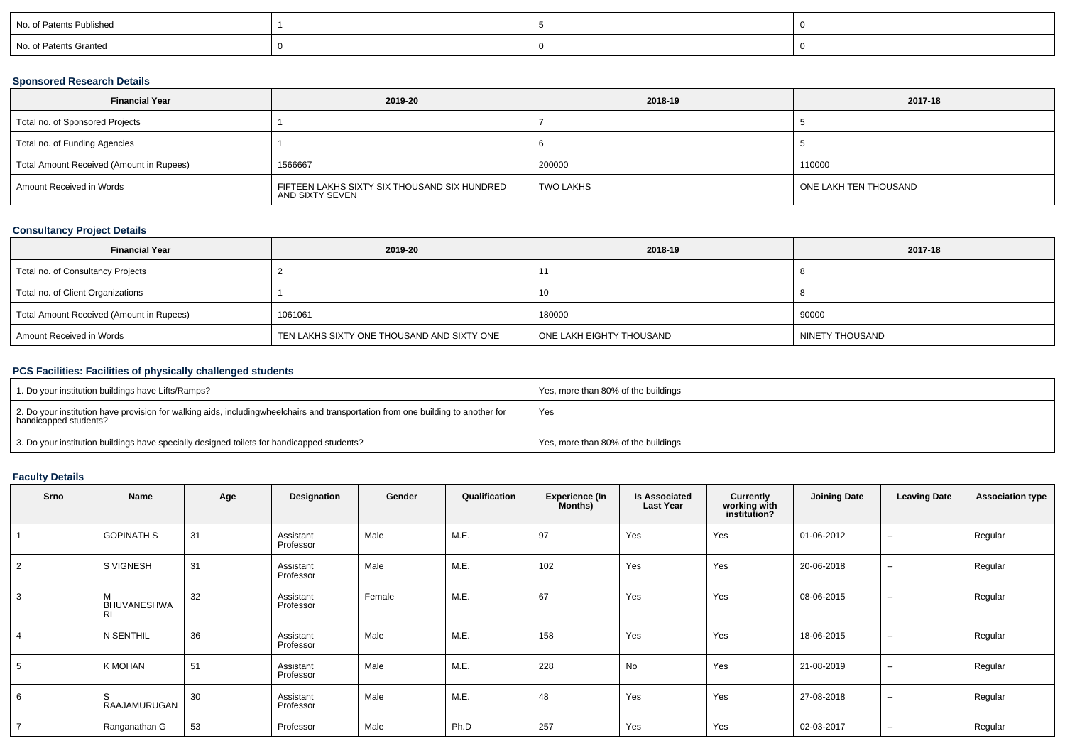| No. of Patents Published |  |  |
|--------------------------|--|--|
| No. of Patents Granted   |  |  |

### **Sponsored Research Details**

| <b>Financial Year</b>                    | 2019-20                                                         | 2018-19   | 2017-18               |
|------------------------------------------|-----------------------------------------------------------------|-----------|-----------------------|
| Total no. of Sponsored Projects          |                                                                 |           |                       |
| Total no. of Funding Agencies            |                                                                 |           |                       |
| Total Amount Received (Amount in Rupees) | 1566667                                                         | 200000    | 110000                |
| Amount Received in Words                 | FIFTEEN LAKHS SIXTY SIX THOUSAND SIX HUNDRED<br>AND SIXTY SEVEN | TWO LAKHS | ONE LAKH TEN THOUSAND |

## **Consultancy Project Details**

| <b>Financial Year</b>                    | 2019-20                                    | 2018-19                  | 2017-18         |
|------------------------------------------|--------------------------------------------|--------------------------|-----------------|
| Total no. of Consultancy Projects        |                                            |                          |                 |
| Total no. of Client Organizations        |                                            | 10                       |                 |
| Total Amount Received (Amount in Rupees) | 1061061                                    | 180000                   | 90000           |
| Amount Received in Words                 | TEN LAKHS SIXTY ONE THOUSAND AND SIXTY ONE | ONE LAKH EIGHTY THOUSAND | NINETY THOUSAND |

# **PCS Facilities: Facilities of physically challenged students**

| 1. Do your institution buildings have Lifts/Ramps?                                                                                                        | Yes, more than 80% of the buildings |
|-----------------------------------------------------------------------------------------------------------------------------------------------------------|-------------------------------------|
| 2. Do your institution have provision for walking aids, includingwheelchairs and transportation from one building to another for<br>handicapped students? | Yes                                 |
| 3. Do your institution buildings have specially designed toilets for handicapped students?                                                                | Yes, more than 80% of the buildings |

# **Faculty Details**

| Srno           | Name                                 | Age | Designation            | Gender | Qualification | <b>Experience (In</b><br>Months) | <b>Is Associated</b><br><b>Last Year</b> | Currently<br>working with<br>institution? | <b>Joining Date</b> | <b>Leaving Date</b>      | <b>Association type</b> |
|----------------|--------------------------------------|-----|------------------------|--------|---------------|----------------------------------|------------------------------------------|-------------------------------------------|---------------------|--------------------------|-------------------------|
|                | <b>GOPINATH S</b>                    | 31  | Assistant<br>Professor | Male   | M.E.          | 97                               | Yes                                      | Yes                                       | 01-06-2012          | $\sim$                   | Regular                 |
| $\overline{2}$ | S VIGNESH                            | 31  | Assistant<br>Professor | Male   | M.E.          | 102                              | Yes                                      | Yes                                       | 20-06-2018          | $\sim$                   | Regular                 |
| 3              | M<br><b>BHUVANESHWA</b><br><b>RI</b> | 32  | Assistant<br>Professor | Female | M.E.          | 67                               | Yes                                      | Yes                                       | 08-06-2015          | $\sim$                   | Regular                 |
| $\overline{4}$ | N SENTHIL                            | 36  | Assistant<br>Professor | Male   | M.E.          | 158                              | Yes                                      | Yes                                       | 18-06-2015          | $\overline{\phantom{a}}$ | Regular                 |
| 5              | K MOHAN                              | 51  | Assistant<br>Professor | Male   | M.E.          | 228                              | No                                       | Yes                                       | 21-08-2019          | $\sim$                   | Regular                 |
| 6              | S<br>RAAJAMURUGAN                    | 30  | Assistant<br>Professor | Male   | M.E.          | 48                               | Yes                                      | Yes                                       | 27-08-2018          | $\overline{\phantom{a}}$ | Regular                 |
| $\overline{7}$ | Ranganathan G                        | 53  | Professor              | Male   | Ph.D          | 257                              | Yes                                      | Yes                                       | 02-03-2017          | --                       | Regular                 |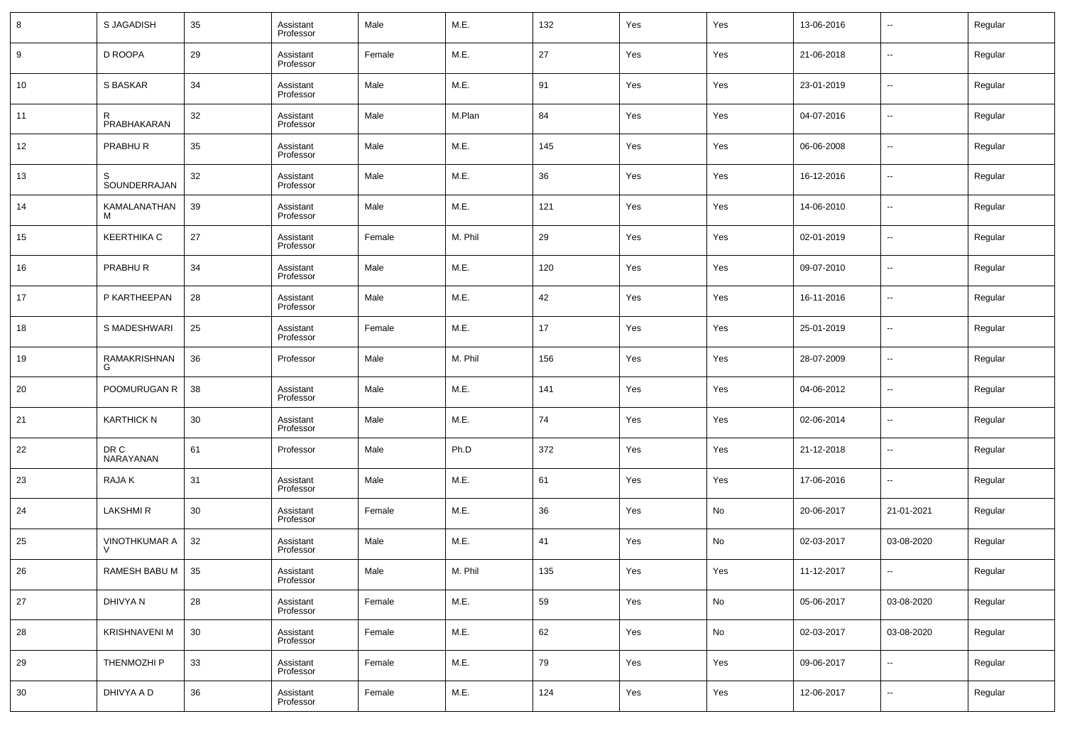| 8  | S JAGADISH           | 35 | Assistant<br>Professor | Male   | M.E.    | 132 | Yes | Yes | 13-06-2016 | $\overline{\phantom{a}}$ | Regular |
|----|----------------------|----|------------------------|--------|---------|-----|-----|-----|------------|--------------------------|---------|
| 9  | D ROOPA              | 29 | Assistant<br>Professor | Female | M.E.    | 27  | Yes | Yes | 21-06-2018 | $\overline{\phantom{a}}$ | Regular |
| 10 | S BASKAR             | 34 | Assistant<br>Professor | Male   | M.E.    | 91  | Yes | Yes | 23-01-2019 | $\overline{\phantom{a}}$ | Regular |
| 11 | R<br>PRABHAKARAN     | 32 | Assistant<br>Professor | Male   | M.Plan  | 84  | Yes | Yes | 04-07-2016 | $\overline{\phantom{a}}$ | Regular |
| 12 | PRABHUR              | 35 | Assistant<br>Professor | Male   | M.E.    | 145 | Yes | Yes | 06-06-2008 | $\overline{\phantom{a}}$ | Regular |
| 13 | S<br>SOUNDERRAJAN    | 32 | Assistant<br>Professor | Male   | M.E.    | 36  | Yes | Yes | 16-12-2016 | $\overline{\phantom{a}}$ | Regular |
| 14 | KAMALANATHAN<br>м    | 39 | Assistant<br>Professor | Male   | M.E.    | 121 | Yes | Yes | 14-06-2010 | $\overline{\phantom{a}}$ | Regular |
| 15 | <b>KEERTHIKA C</b>   | 27 | Assistant<br>Professor | Female | M. Phil | 29  | Yes | Yes | 02-01-2019 | $\overline{\phantom{a}}$ | Regular |
| 16 | PRABHUR              | 34 | Assistant<br>Professor | Male   | M.E.    | 120 | Yes | Yes | 09-07-2010 | $\overline{\phantom{a}}$ | Regular |
| 17 | P KARTHEEPAN         | 28 | Assistant<br>Professor | Male   | M.E.    | 42  | Yes | Yes | 16-11-2016 | $\overline{\phantom{a}}$ | Regular |
| 18 | S MADESHWARI         | 25 | Assistant<br>Professor | Female | M.E.    | 17  | Yes | Yes | 25-01-2019 | $\overline{\phantom{a}}$ | Regular |
| 19 | RAMAKRISHNAN<br>G    | 36 | Professor              | Male   | M. Phil | 156 | Yes | Yes | 28-07-2009 | $\overline{\phantom{a}}$ | Regular |
| 20 | POOMURUGAN R         | 38 | Assistant<br>Professor | Male   | M.E.    | 141 | Yes | Yes | 04-06-2012 | $\overline{\phantom{a}}$ | Regular |
| 21 | <b>KARTHICK N</b>    | 30 | Assistant<br>Professor | Male   | M.E.    | 74  | Yes | Yes | 02-06-2014 | $\overline{\phantom{a}}$ | Regular |
| 22 | DR C<br>NARAYANAN    | 61 | Professor              | Male   | Ph.D    | 372 | Yes | Yes | 21-12-2018 | $\overline{\phantom{a}}$ | Regular |
| 23 | RAJA K               | 31 | Assistant<br>Professor | Male   | M.E.    | 61  | Yes | Yes | 17-06-2016 | $\overline{\phantom{a}}$ | Regular |
| 24 | <b>LAKSHMIR</b>      | 30 | Assistant<br>Professor | Female | M.E.    | 36  | Yes | No  | 20-06-2017 | 21-01-2021               | Regular |
| 25 | <b>VINOTHKUMAR A</b> | 32 | Assistant<br>Professor | Male   | M.E.    | 41  | Yes | No  | 02-03-2017 | 03-08-2020               | Regular |
| 26 | RAMESH BABU M        | 35 | Assistant<br>Professor | Male   | M. Phil | 135 | Yes | Yes | 11-12-2017 | $\overline{\phantom{a}}$ | Regular |
| 27 | DHIVYA N             | 28 | Assistant<br>Professor | Female | M.E.    | 59  | Yes | No  | 05-06-2017 | 03-08-2020               | Regular |
| 28 | <b>KRISHNAVENI M</b> | 30 | Assistant<br>Professor | Female | M.E.    | 62  | Yes | No  | 02-03-2017 | 03-08-2020               | Regular |
| 29 | THENMOZHI P          | 33 | Assistant<br>Professor | Female | M.E.    | 79  | Yes | Yes | 09-06-2017 | $\overline{\phantom{a}}$ | Regular |
| 30 | DHIVYA A D           | 36 | Assistant<br>Professor | Female | M.E.    | 124 | Yes | Yes | 12-06-2017 | $\overline{\phantom{a}}$ | Regular |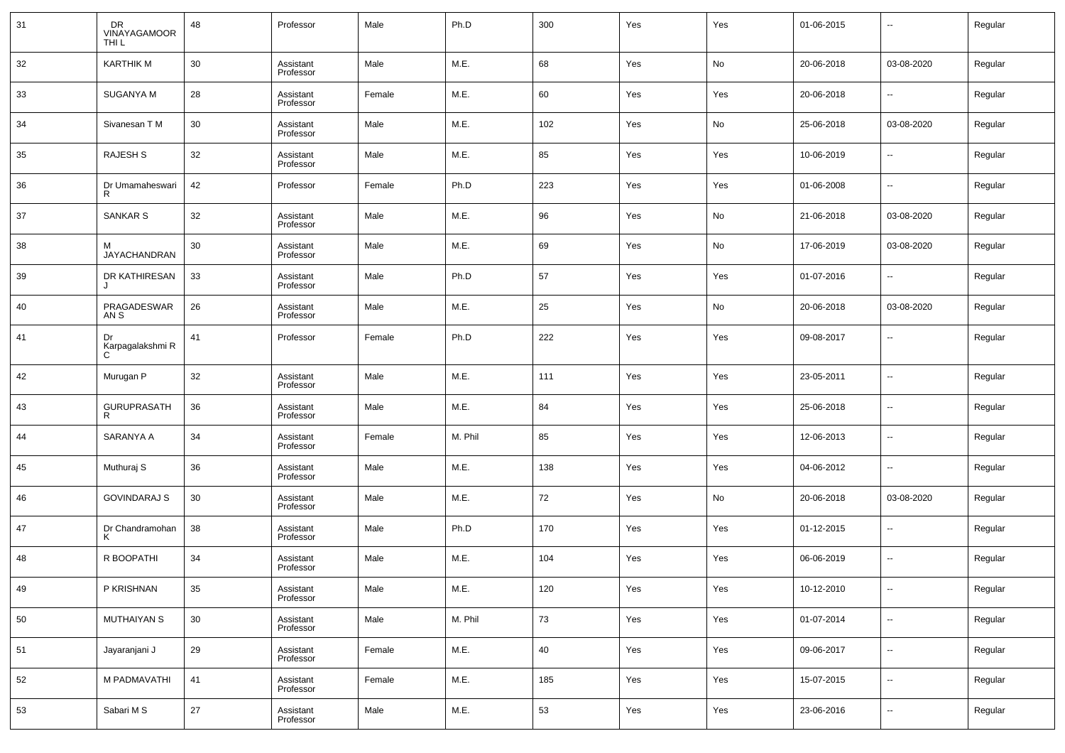| 31 | DR<br>VINAYAGAMOOR<br>THI <sub>L</sub> | 48     | Professor              | Male   | Ph.D    | 300 | Yes | Yes | 01-06-2015 | $\overline{\phantom{a}}$ | Regular |
|----|----------------------------------------|--------|------------------------|--------|---------|-----|-----|-----|------------|--------------------------|---------|
| 32 | <b>KARTHIK M</b>                       | 30     | Assistant<br>Professor | Male   | M.E.    | 68  | Yes | No  | 20-06-2018 | 03-08-2020               | Regular |
| 33 | SUGANYA M                              | 28     | Assistant<br>Professor | Female | M.E.    | 60  | Yes | Yes | 20-06-2018 | $\sim$                   | Regular |
| 34 | Sivanesan T M                          | 30     | Assistant<br>Professor | Male   | M.E.    | 102 | Yes | No  | 25-06-2018 | 03-08-2020               | Regular |
| 35 | RAJESH S                               | 32     | Assistant<br>Professor | Male   | M.E.    | 85  | Yes | Yes | 10-06-2019 | $\overline{\phantom{a}}$ | Regular |
| 36 | Dr Umamaheswari<br>R                   | 42     | Professor              | Female | Ph.D    | 223 | Yes | Yes | 01-06-2008 | $\sim$                   | Regular |
| 37 | <b>SANKAR S</b>                        | 32     | Assistant<br>Professor | Male   | M.E.    | 96  | Yes | No  | 21-06-2018 | 03-08-2020               | Regular |
| 38 | м<br>JAYACHANDRAN                      | 30     | Assistant<br>Professor | Male   | M.E.    | 69  | Yes | No  | 17-06-2019 | 03-08-2020               | Regular |
| 39 | DR KATHIRESAN<br>J                     | 33     | Assistant<br>Professor | Male   | Ph.D    | 57  | Yes | Yes | 01-07-2016 | $\sim$                   | Regular |
| 40 | PRAGADESWAR<br>AN S                    | 26     | Assistant<br>Professor | Male   | M.E.    | 25  | Yes | No  | 20-06-2018 | 03-08-2020               | Regular |
| 41 | Dr<br>Karpagalakshmi R<br>C            | 41     | Professor              | Female | Ph.D    | 222 | Yes | Yes | 09-08-2017 | $\sim$                   | Regular |
| 42 | Murugan P                              | 32     | Assistant<br>Professor | Male   | M.E.    | 111 | Yes | Yes | 23-05-2011 | $\sim$                   | Regular |
| 43 | GURUPRASATH<br>R                       | 36     | Assistant<br>Professor | Male   | M.E.    | 84  | Yes | Yes | 25-06-2018 | $\sim$                   | Regular |
| 44 | SARANYA A                              | 34     | Assistant<br>Professor | Female | M. Phil | 85  | Yes | Yes | 12-06-2013 | $\sim$                   | Regular |
| 45 | Muthuraj S                             | 36     | Assistant<br>Professor | Male   | M.E.    | 138 | Yes | Yes | 04-06-2012 | $\overline{\phantom{a}}$ | Regular |
| 46 | <b>GOVINDARAJ S</b>                    | 30     | Assistant<br>Professor | Male   | M.E.    | 72  | Yes | No  | 20-06-2018 | 03-08-2020               | Regular |
| 47 | Dr Chandramohan<br>Κ                   | 38     | Assistant<br>Professor | Male   | Ph.D    | 170 | Yes | Yes | 01-12-2015 | $\sim$                   | Regular |
| 48 | R BOOPATHI                             | 34     | Assistant<br>Professor | Male   | M.E.    | 104 | Yes | Yes | 06-06-2019 | $\ddotsc$                | Regular |
| 49 | P KRISHNAN                             | 35     | Assistant<br>Professor | Male   | M.E.    | 120 | Yes | Yes | 10-12-2010 | $\sim$                   | Regular |
| 50 | <b>MUTHAIYAN S</b>                     | $30\,$ | Assistant<br>Professor | Male   | M. Phil | 73  | Yes | Yes | 01-07-2014 | $\overline{\phantom{a}}$ | Regular |
| 51 | Jayaranjani J                          | 29     | Assistant<br>Professor | Female | M.E.    | 40  | Yes | Yes | 09-06-2017 | $\sim$                   | Regular |
| 52 | M PADMAVATHI                           | 41     | Assistant<br>Professor | Female | M.E.    | 185 | Yes | Yes | 15-07-2015 | $\overline{\phantom{a}}$ | Regular |
| 53 | Sabari M S                             | 27     | Assistant<br>Professor | Male   | M.E.    | 53  | Yes | Yes | 23-06-2016 | $\sim$                   | Regular |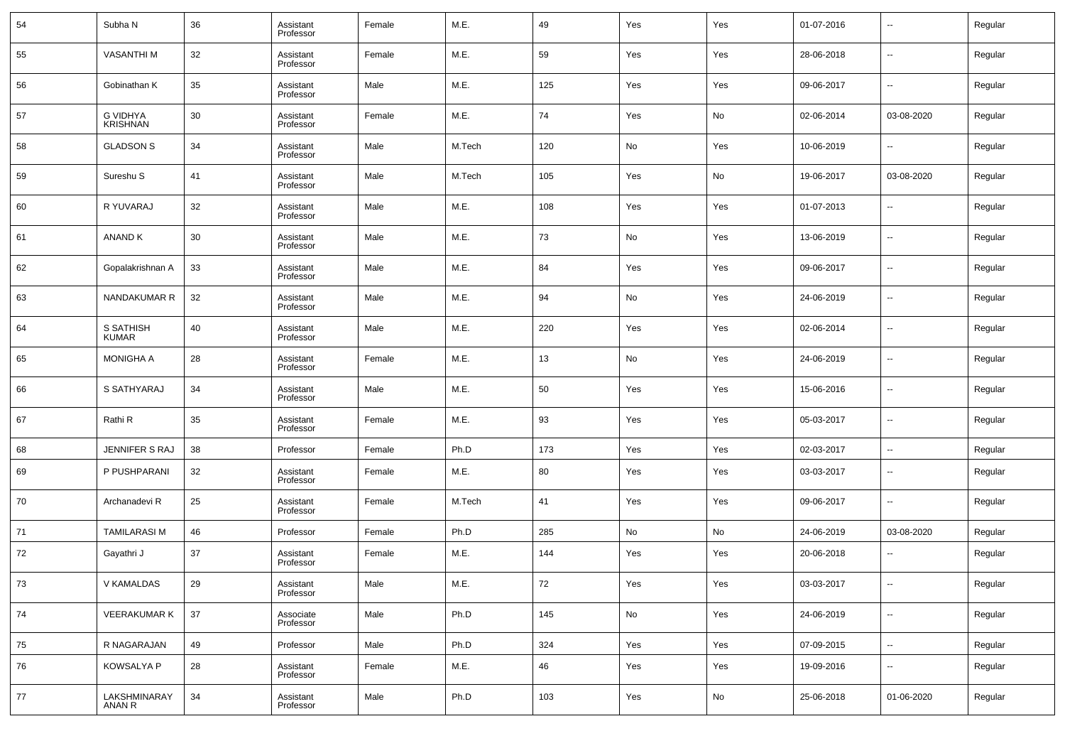| 54 | Subha N                            | 36 | Assistant<br>Professor | Female | M.E.   | 49  | Yes | Yes | 01-07-2016 | $\overline{\phantom{a}}$ | Regular |
|----|------------------------------------|----|------------------------|--------|--------|-----|-----|-----|------------|--------------------------|---------|
| 55 | <b>VASANTHIM</b>                   | 32 | Assistant<br>Professor | Female | M.E.   | 59  | Yes | Yes | 28-06-2018 | $\overline{\phantom{a}}$ | Regular |
| 56 | Gobinathan K                       | 35 | Assistant<br>Professor | Male   | M.E.   | 125 | Yes | Yes | 09-06-2017 | $\overline{\phantom{a}}$ | Regular |
| 57 | <b>G VIDHYA</b><br><b>KRISHNAN</b> | 30 | Assistant<br>Professor | Female | M.E.   | 74  | Yes | No  | 02-06-2014 | 03-08-2020               | Regular |
| 58 | <b>GLADSON S</b>                   | 34 | Assistant<br>Professor | Male   | M.Tech | 120 | No  | Yes | 10-06-2019 | $\overline{\phantom{a}}$ | Regular |
| 59 | Sureshu <sub>S</sub>               | 41 | Assistant<br>Professor | Male   | M.Tech | 105 | Yes | No  | 19-06-2017 | 03-08-2020               | Regular |
| 60 | R YUVARAJ                          | 32 | Assistant<br>Professor | Male   | M.E.   | 108 | Yes | Yes | 01-07-2013 | $\overline{\phantom{a}}$ | Regular |
| 61 | <b>ANAND K</b>                     | 30 | Assistant<br>Professor | Male   | M.E.   | 73  | No  | Yes | 13-06-2019 | $\overline{\phantom{a}}$ | Regular |
| 62 | Gopalakrishnan A                   | 33 | Assistant<br>Professor | Male   | M.E.   | 84  | Yes | Yes | 09-06-2017 | $\overline{\phantom{a}}$ | Regular |
| 63 | NANDAKUMAR R                       | 32 | Assistant<br>Professor | Male   | M.E.   | 94  | No  | Yes | 24-06-2019 | $\overline{\phantom{a}}$ | Regular |
| 64 | S SATHISH<br><b>KUMAR</b>          | 40 | Assistant<br>Professor | Male   | M.E.   | 220 | Yes | Yes | 02-06-2014 | $\overline{\phantom{a}}$ | Regular |
| 65 | <b>MONIGHA A</b>                   | 28 | Assistant<br>Professor | Female | M.E.   | 13  | No  | Yes | 24-06-2019 | $\overline{\phantom{a}}$ | Regular |
| 66 | S SATHYARAJ                        | 34 | Assistant<br>Professor | Male   | M.E.   | 50  | Yes | Yes | 15-06-2016 | $\overline{\phantom{a}}$ | Regular |
| 67 | Rathi <sub>R</sub>                 | 35 | Assistant<br>Professor | Female | M.E.   | 93  | Yes | Yes | 05-03-2017 | $\overline{\phantom{a}}$ | Regular |
| 68 | JENNIFER S RAJ                     | 38 | Professor              | Female | Ph.D   | 173 | Yes | Yes | 02-03-2017 | $\overline{\phantom{a}}$ | Regular |
| 69 | P PUSHPARANI                       | 32 | Assistant<br>Professor | Female | M.E.   | 80  | Yes | Yes | 03-03-2017 | $\overline{\phantom{a}}$ | Regular |
| 70 | Archanadevi R                      | 25 | Assistant<br>Professor | Female | M.Tech | 41  | Yes | Yes | 09-06-2017 | $\overline{\phantom{a}}$ | Regular |
| 71 | <b>TAMILARASI M</b>                | 46 | Professor              | Female | Ph.D   | 285 | No  | No  | 24-06-2019 | 03-08-2020               | Regular |
| 72 | Gayathri J                         | 37 | Assistant<br>Professor | Female | M.E.   | 144 | Yes | Yes | 20-06-2018 | $\overline{\phantom{a}}$ | Regular |
| 73 | V KAMALDAS                         | 29 | Assistant<br>Professor | Male   | M.E.   | 72  | Yes | Yes | 03-03-2017 | $\overline{\phantom{a}}$ | Regular |
| 74 | <b>VEERAKUMAR K</b>                | 37 | Associate<br>Professor | Male   | Ph.D   | 145 | No  | Yes | 24-06-2019 | $\overline{\phantom{a}}$ | Regular |
| 75 | R NAGARAJAN                        | 49 | Professor              | Male   | Ph.D   | 324 | Yes | Yes | 07-09-2015 | $\overline{\phantom{a}}$ | Regular |
| 76 | KOWSALYA P                         | 28 | Assistant<br>Professor | Female | M.E.   | 46  | Yes | Yes | 19-09-2016 | $\overline{\phantom{a}}$ | Regular |
| 77 | LAKSHMINARAY<br>ANAN R             | 34 | Assistant<br>Professor | Male   | Ph.D   | 103 | Yes | No  | 25-06-2018 | 01-06-2020               | Regular |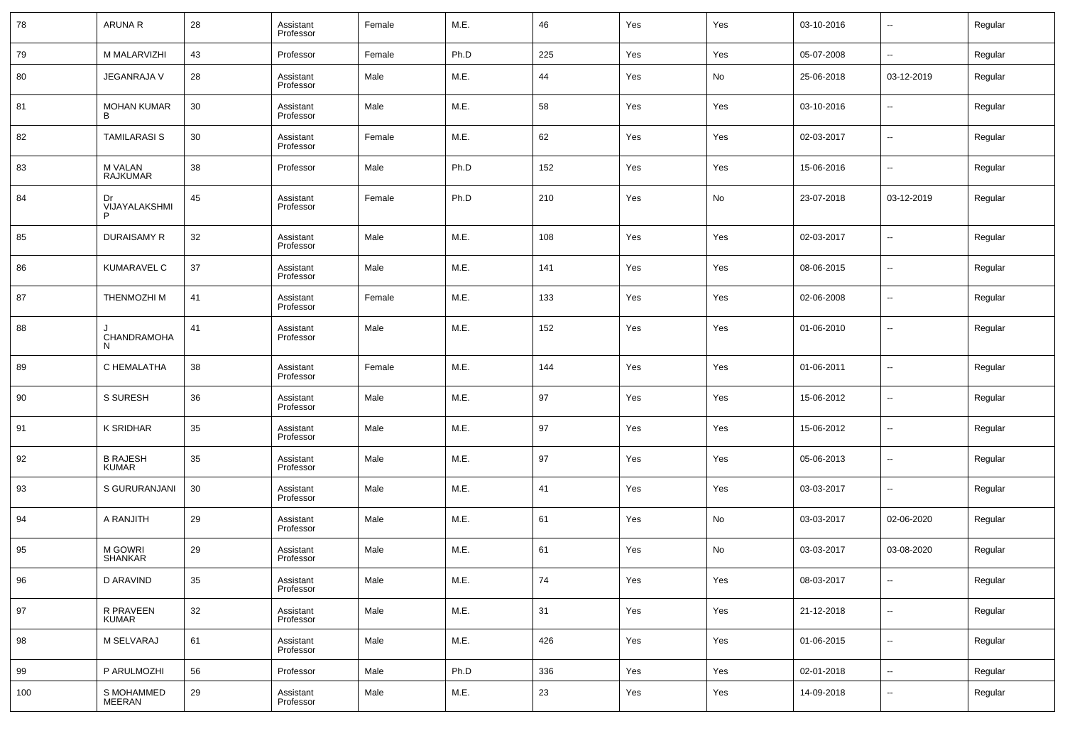| 78  | <b>ARUNA R</b>                    | 28 | Assistant<br>Professor | Female | M.E. | 46       | Yes | Yes | 03-10-2016 | $\overline{\phantom{a}}$ | Regular |
|-----|-----------------------------------|----|------------------------|--------|------|----------|-----|-----|------------|--------------------------|---------|
| 79  | M MALARVIZHI                      | 43 | Professor              | Female | Ph.D | 225      | Yes | Yes | 05-07-2008 | $\overline{\phantom{a}}$ | Regular |
| 80  | JEGANRAJA V                       | 28 | Assistant<br>Professor | Male   | M.E. | 44       | Yes | No  | 25-06-2018 | 03-12-2019               | Regular |
| 81  | <b>MOHAN KUMAR</b><br>R           | 30 | Assistant<br>Professor | Male   | M.E. | 58       | Yes | Yes | 03-10-2016 | --                       | Regular |
| 82  | <b>TAMILARASI S</b>               | 30 | Assistant<br>Professor | Female | M.E. | 62       | Yes | Yes | 02-03-2017 | $\overline{\phantom{a}}$ | Regular |
| 83  | <b>M VALAN</b><br><b>RAJKUMAR</b> | 38 | Professor              | Male   | Ph.D | 152      | Yes | Yes | 15-06-2016 | $\overline{\phantom{a}}$ | Regular |
| 84  | Dr<br>VIJAYALAKSHMI               | 45 | Assistant<br>Professor | Female | Ph.D | 210      | Yes | No  | 23-07-2018 | 03-12-2019               | Regular |
| 85  | <b>DURAISAMY R</b>                | 32 | Assistant<br>Professor | Male   | M.E. | 108      | Yes | Yes | 02-03-2017 | $\overline{\phantom{a}}$ | Regular |
| 86  | <b>KUMARAVEL C</b>                | 37 | Assistant<br>Professor | Male   | M.E. | 141      | Yes | Yes | 08-06-2015 | $\overline{\phantom{a}}$ | Regular |
| 87  | <b>THENMOZHIM</b>                 | 41 | Assistant<br>Professor | Female | M.E. | 133      | Yes | Yes | 02-06-2008 | $\overline{\phantom{a}}$ | Regular |
| 88  | <b>CHANDRAMOHA</b><br>N.          | 41 | Assistant<br>Professor | Male   | M.E. | 152      | Yes | Yes | 01-06-2010 | $\overline{\phantom{a}}$ | Regular |
| 89  | C HEMALATHA                       | 38 | Assistant<br>Professor | Female | M.E. | 144      | Yes | Yes | 01-06-2011 | $\sim$                   | Regular |
| 90  | S SURESH                          | 36 | Assistant<br>Professor | Male   | M.E. | 97       | Yes | Yes | 15-06-2012 | --                       | Regular |
| 91  | <b>K SRIDHAR</b>                  | 35 | Assistant<br>Professor | Male   | M.E. | 97       | Yes | Yes | 15-06-2012 | $\overline{\phantom{a}}$ | Regular |
| 92  | <b>B RAJESH</b><br><b>KUMAR</b>   | 35 | Assistant<br>Professor | Male   | M.E. | 97       | Yes | Yes | 05-06-2013 | $\overline{\phantom{a}}$ | Regular |
| 93  | S GURURANJANI                     | 30 | Assistant<br>Professor | Male   | M.E. | 41       | Yes | Yes | 03-03-2017 | $\ddotsc$                | Regular |
| 94  | A RANJITH                         | 29 | Assistant<br>Professor | Male   | M.E. | 61       | Yes | No  | 03-03-2017 | 02-06-2020               | Regular |
| 95  | M GOWRI<br>SHANKAR                | 29 | Assistant<br>Professor | Male   | M.E. | 61       | Yes | No  | 03-03-2017 | 03-08-2020               | Regular |
| 96  | D ARAVIND                         | 35 | Assistant<br>Professor | Male   | M.E. | $\bf 74$ | Yes | Yes | 08-03-2017 |                          | Regular |
| 97  | R PRAVEEN<br>KUMAR                | 32 | Assistant<br>Professor | Male   | M.E. | 31       | Yes | Yes | 21-12-2018 | $\overline{\phantom{a}}$ | Regular |
| 98  | M SELVARAJ                        | 61 | Assistant<br>Professor | Male   | M.E. | 426      | Yes | Yes | 01-06-2015 | $\overline{\phantom{a}}$ | Regular |
| 99  | P ARULMOZHI                       | 56 | Professor              | Male   | Ph.D | 336      | Yes | Yes | 02-01-2018 | $\overline{\phantom{a}}$ | Regular |
| 100 | S MOHAMMED<br>MEERAN              | 29 | Assistant<br>Professor | Male   | M.E. | 23       | Yes | Yes | 14-09-2018 | ۰.                       | Regular |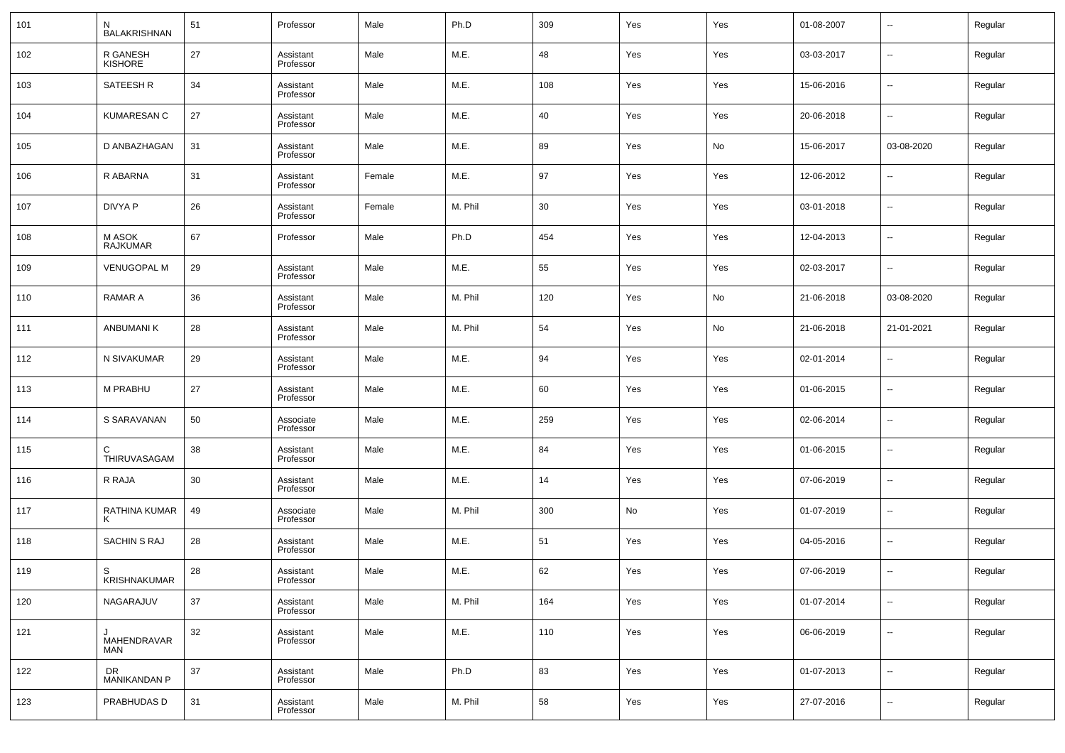| 101 | N<br><b>BALAKRISHNAN</b>       | 51 | Professor              | Male   | Ph.D    | 309 | Yes | Yes | 01-08-2007 | $\overline{\phantom{a}}$ | Regular |
|-----|--------------------------------|----|------------------------|--------|---------|-----|-----|-----|------------|--------------------------|---------|
| 102 | R GANESH<br><b>KISHORE</b>     | 27 | Assistant<br>Professor | Male   | M.E.    | 48  | Yes | Yes | 03-03-2017 | $\overline{\phantom{a}}$ | Regular |
| 103 | SATEESH R                      | 34 | Assistant<br>Professor | Male   | M.E.    | 108 | Yes | Yes | 15-06-2016 | $\overline{\phantom{a}}$ | Regular |
| 104 | <b>KUMARESAN C</b>             | 27 | Assistant<br>Professor | Male   | M.E.    | 40  | Yes | Yes | 20-06-2018 | $\overline{\phantom{a}}$ | Regular |
| 105 | D ANBAZHAGAN                   | 31 | Assistant<br>Professor | Male   | M.E.    | 89  | Yes | No  | 15-06-2017 | 03-08-2020               | Regular |
| 106 | R ABARNA                       | 31 | Assistant<br>Professor | Female | M.E.    | 97  | Yes | Yes | 12-06-2012 | $\overline{\phantom{a}}$ | Regular |
| 107 | DIVYA P                        | 26 | Assistant<br>Professor | Female | M. Phil | 30  | Yes | Yes | 03-01-2018 | $\overline{\phantom{a}}$ | Regular |
| 108 | M ASOK<br><b>RAJKUMAR</b>      | 67 | Professor              | Male   | Ph.D    | 454 | Yes | Yes | 12-04-2013 | $\overline{\phantom{a}}$ | Regular |
| 109 | <b>VENUGOPAL M</b>             | 29 | Assistant<br>Professor | Male   | M.E.    | 55  | Yes | Yes | 02-03-2017 | $\overline{\phantom{a}}$ | Regular |
| 110 | <b>RAMAR A</b>                 | 36 | Assistant<br>Professor | Male   | M. Phil | 120 | Yes | No  | 21-06-2018 | 03-08-2020               | Regular |
| 111 | ANBUMANI K                     | 28 | Assistant<br>Professor | Male   | M. Phil | 54  | Yes | No  | 21-06-2018 | 21-01-2021               | Regular |
| 112 | N SIVAKUMAR                    | 29 | Assistant<br>Professor | Male   | M.E.    | 94  | Yes | Yes | 02-01-2014 | $\overline{\phantom{a}}$ | Regular |
| 113 | <b>M PRABHU</b>                | 27 | Assistant<br>Professor | Male   | M.E.    | 60  | Yes | Yes | 01-06-2015 | $\overline{\phantom{a}}$ | Regular |
| 114 | S SARAVANAN                    | 50 | Associate<br>Professor | Male   | M.E.    | 259 | Yes | Yes | 02-06-2014 | $\overline{\phantom{a}}$ | Regular |
| 115 | C<br>THIRUVASAGAM              | 38 | Assistant<br>Professor | Male   | M.E.    | 84  | Yes | Yes | 01-06-2015 | $\overline{\phantom{a}}$ | Regular |
| 116 | R RAJA                         | 30 | Assistant<br>Professor | Male   | M.E.    | 14  | Yes | Yes | 07-06-2019 | $\overline{\phantom{a}}$ | Regular |
| 117 | RATHINA KUMAR                  | 49 | Associate<br>Professor | Male   | M. Phil | 300 | No  | Yes | 01-07-2019 | $\overline{\phantom{a}}$ | Regular |
| 118 | <b>SACHIN S RAJ</b>            | 28 | Assistant<br>Professor | Male   | M.E.    | 51  | Yes | Yes | 04-05-2016 | $\overline{\phantom{a}}$ | Regular |
| 119 | S<br><b>KRISHNAKUMAR</b>       | 28 | Assistant<br>Professor | Male   | M.E.    | 62  | Yes | Yes | 07-06-2019 | $\overline{\phantom{a}}$ | Regular |
| 120 | NAGARAJUV                      | 37 | Assistant<br>Professor | Male   | M. Phil | 164 | Yes | Yes | 01-07-2014 | $\overline{\phantom{a}}$ | Regular |
| 121 | J<br>MAHENDRAVAR<br><b>MAN</b> | 32 | Assistant<br>Professor | Male   | M.E.    | 110 | Yes | Yes | 06-06-2019 | $\overline{\phantom{a}}$ | Regular |
| 122 | DR<br>MANIKANDAN P             | 37 | Assistant<br>Professor | Male   | Ph.D    | 83  | Yes | Yes | 01-07-2013 | $\overline{\phantom{a}}$ | Regular |
| 123 | PRABHUDAS D                    | 31 | Assistant<br>Professor | Male   | M. Phil | 58  | Yes | Yes | 27-07-2016 | $\overline{\phantom{a}}$ | Regular |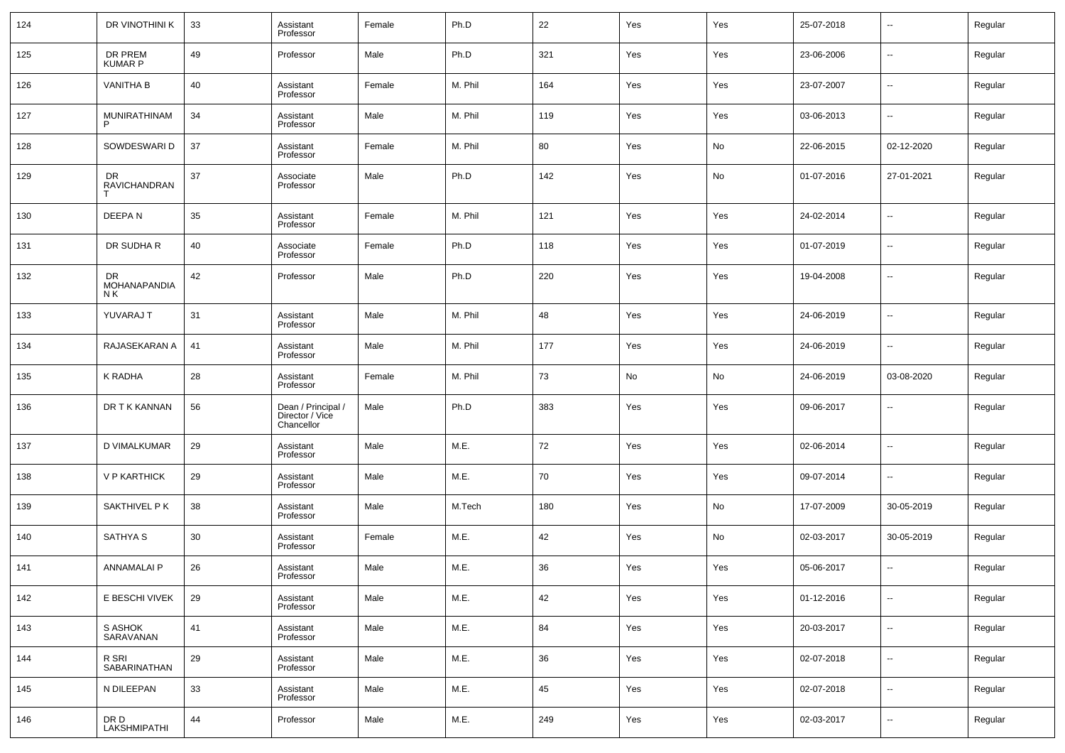| 124 | DR VINOTHINI K            | 33 | Assistant<br>Professor                              | Female | Ph.D    | 22  | Yes | Yes | 25-07-2018 | $\overline{\phantom{a}}$ | Regular |
|-----|---------------------------|----|-----------------------------------------------------|--------|---------|-----|-----|-----|------------|--------------------------|---------|
| 125 | DR PREM<br>KUMAR P        | 49 | Professor                                           | Male   | Ph.D    | 321 | Yes | Yes | 23-06-2006 | $\overline{\phantom{a}}$ | Regular |
| 126 | <b>VANITHA B</b>          | 40 | Assistant<br>Professor                              | Female | M. Phil | 164 | Yes | Yes | 23-07-2007 | $\overline{\phantom{a}}$ | Regular |
| 127 | MUNIRATHINAM<br>P         | 34 | Assistant<br>Professor                              | Male   | M. Phil | 119 | Yes | Yes | 03-06-2013 | $\overline{\phantom{a}}$ | Regular |
| 128 | SOWDESWARI D              | 37 | Assistant<br>Professor                              | Female | M. Phil | 80  | Yes | No  | 22-06-2015 | 02-12-2020               | Regular |
| 129 | DR.<br>RAVICHANDRAN       | 37 | Associate<br>Professor                              | Male   | Ph.D    | 142 | Yes | No  | 01-07-2016 | 27-01-2021               | Regular |
| 130 | DEEPAN                    | 35 | Assistant<br>Professor                              | Female | M. Phil | 121 | Yes | Yes | 24-02-2014 | $\overline{\phantom{a}}$ | Regular |
| 131 | DR SUDHA R                | 40 | Associate<br>Professor                              | Female | Ph.D    | 118 | Yes | Yes | 01-07-2019 | $\overline{\phantom{a}}$ | Regular |
| 132 | DR<br>MOHANAPANDIA<br>N K | 42 | Professor                                           | Male   | Ph.D    | 220 | Yes | Yes | 19-04-2008 | $\sim$                   | Regular |
| 133 | YUVARAJ T                 | 31 | Assistant<br>Professor                              | Male   | M. Phil | 48  | Yes | Yes | 24-06-2019 | --                       | Regular |
| 134 | RAJASEKARAN A             | 41 | Assistant<br>Professor                              | Male   | M. Phil | 177 | Yes | Yes | 24-06-2019 | --                       | Regular |
| 135 | K RADHA                   | 28 | Assistant<br>Professor                              | Female | M. Phil | 73  | No  | No  | 24-06-2019 | 03-08-2020               | Regular |
| 136 | DR T K KANNAN             | 56 | Dean / Principal /<br>Director / Vice<br>Chancellor | Male   | Ph.D    | 383 | Yes | Yes | 09-06-2017 | --                       | Regular |
| 137 | D VIMALKUMAR              | 29 | Assistant<br>Professor                              | Male   | M.E.    | 72  | Yes | Yes | 02-06-2014 | $\sim$                   | Regular |
| 138 | V P KARTHICK              | 29 | Assistant<br>Professor                              | Male   | M.E.    | 70  | Yes | Yes | 09-07-2014 | $\sim$                   | Regular |
| 139 | SAKTHIVEL P K             | 38 | Assistant<br>Professor                              | Male   | M.Tech  | 180 | Yes | No  | 17-07-2009 | 30-05-2019               | Regular |
| 140 | <b>SATHYA S</b>           | 30 | Assistant<br>Professor                              | Female | M.E.    | 42  | Yes | No  | 02-03-2017 | 30-05-2019               | Regular |
| 141 | <b>ANNAMALAI P</b>        | 26 | Assistant<br>Professor                              | Male   | M.E.    | 36  | Yes | Yes | 05-06-2017 | --                       | Regular |
| 142 | E BESCHI VIVEK            | 29 | Assistant<br>Professor                              | Male   | M.E.    | 42  | Yes | Yes | 01-12-2016 | $\sim$                   | Regular |
| 143 | S ASHOK<br>SARAVANAN      | 41 | Assistant<br>Professor                              | Male   | M.E.    | 84  | Yes | Yes | 20-03-2017 | $\overline{\phantom{a}}$ | Regular |
| 144 | R SRI<br>SABARINATHAN     | 29 | Assistant<br>Professor                              | Male   | M.E.    | 36  | Yes | Yes | 02-07-2018 | $\overline{\phantom{a}}$ | Regular |
| 145 | N DILEEPAN                | 33 | Assistant<br>Professor                              | Male   | M.E.    | 45  | Yes | Yes | 02-07-2018 | $\overline{\phantom{a}}$ | Regular |
| 146 | DR D<br>LAKSHMIPATHI      | 44 | Professor                                           | Male   | M.E.    | 249 | Yes | Yes | 02-03-2017 | $\sim$                   | Regular |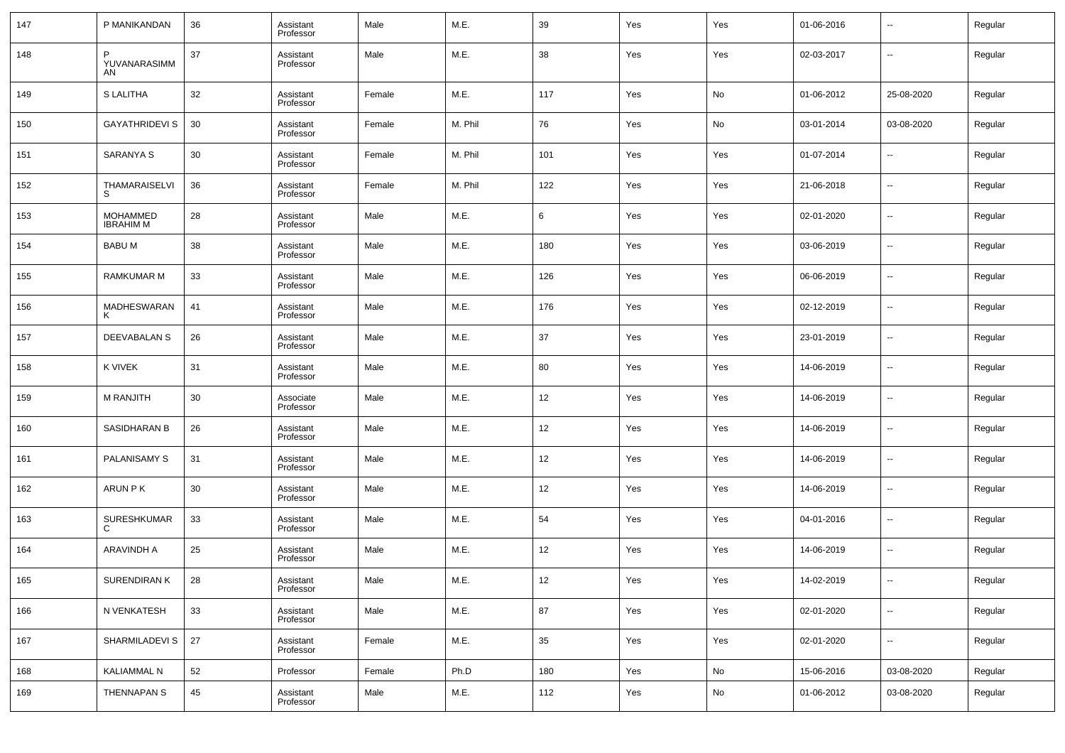| 147 | P MANIKANDAN                        | 36 | Assistant<br>Professor | Male   | M.E.    | 39  | Yes | Yes        | 01-06-2016 | --                       | Regular |
|-----|-------------------------------------|----|------------------------|--------|---------|-----|-----|------------|------------|--------------------------|---------|
| 148 | YUVANARASIMM<br>AN                  | 37 | Assistant<br>Professor | Male   | M.E.    | 38  | Yes | Yes        | 02-03-2017 | $\sim$                   | Regular |
| 149 | S LALITHA                           | 32 | Assistant<br>Professor | Female | M.E.    | 117 | Yes | No         | 01-06-2012 | 25-08-2020               | Regular |
| 150 | <b>GAYATHRIDEVI S</b>               | 30 | Assistant<br>Professor | Female | M. Phil | 76  | Yes | No         | 03-01-2014 | 03-08-2020               | Regular |
| 151 | SARANYA S                           | 30 | Assistant<br>Professor | Female | M. Phil | 101 | Yes | Yes        | 01-07-2014 | ⊶.                       | Regular |
| 152 | THAMARAISELVI<br>S                  | 36 | Assistant<br>Professor | Female | M. Phil | 122 | Yes | Yes        | 21-06-2018 | ۰.                       | Regular |
| 153 | <b>MOHAMMED</b><br><b>IBRAHIM M</b> | 28 | Assistant<br>Professor | Male   | M.E.    | 6   | Yes | Yes        | 02-01-2020 | $\sim$                   | Regular |
| 154 | <b>BABUM</b>                        | 38 | Assistant<br>Professor | Male   | M.E.    | 180 | Yes | Yes        | 03-06-2019 | ۰.                       | Regular |
| 155 | <b>RAMKUMAR M</b>                   | 33 | Assistant<br>Professor | Male   | M.E.    | 126 | Yes | Yes        | 06-06-2019 | $\sim$                   | Regular |
| 156 | MADHESWARAN                         | 41 | Assistant<br>Professor | Male   | M.E.    | 176 | Yes | Yes        | 02-12-2019 | ۰.                       | Regular |
| 157 | DEEVABALAN S                        | 26 | Assistant<br>Professor | Male   | M.E.    | 37  | Yes | Yes        | 23-01-2019 | ۰.                       | Regular |
| 158 | K VIVEK                             | 31 | Assistant<br>Professor | Male   | M.E.    | 80  | Yes | Yes        | 14-06-2019 | --                       | Regular |
| 159 | <b>M RANJITH</b>                    | 30 | Associate<br>Professor | Male   | M.E.    | 12  | Yes | Yes        | 14-06-2019 | ۰.                       | Regular |
| 160 | SASIDHARAN B                        | 26 | Assistant<br>Professor | Male   | M.E.    | 12  | Yes | Yes        | 14-06-2019 | ۰.                       | Regular |
| 161 | <b>PALANISAMY S</b>                 | 31 | Assistant<br>Professor | Male   | M.E.    | 12  | Yes | Yes        | 14-06-2019 | $\sim$                   | Regular |
| 162 | ARUN PK                             | 30 | Assistant<br>Professor | Male   | M.E.    | 12  | Yes | Yes        | 14-06-2019 | ۰.                       | Regular |
| 163 | SURESHKUMAR<br>C                    | 33 | Assistant<br>Professor | Male   | M.E.    | 54  | Yes | Yes        | 04-01-2016 | $\sim$                   | Regular |
| 164 | ARAVINDH A                          | 25 | Assistant<br>Professor | Male   | M.E.    | 12  | Yes | Yes        | 14-06-2019 | $\sim$                   | Regular |
| 165 | SURENDIRAN K                        | 28 | Assistant<br>Professor | Male   | M.E.    | 12  | Yes | Yes        | 14-02-2019 | $\overline{\phantom{a}}$ | Regular |
| 166 | N VENKATESH                         | 33 | Assistant<br>Professor | Male   | M.E.    | 87  | Yes | Yes        | 02-01-2020 | $\overline{\phantom{a}}$ | Regular |
| 167 | SHARMILADEVI S                      | 27 | Assistant<br>Professor | Female | M.E.    | 35  | Yes | Yes        | 02-01-2020 | $\overline{\phantom{a}}$ | Regular |
| 168 | KALIAMMAL N                         | 52 | Professor              | Female | Ph.D    | 180 | Yes | No         | 15-06-2016 | 03-08-2020               | Regular |
| 169 | THENNAPAN S                         | 45 | Assistant<br>Professor | Male   | M.E.    | 112 | Yes | ${\sf No}$ | 01-06-2012 | 03-08-2020               | Regular |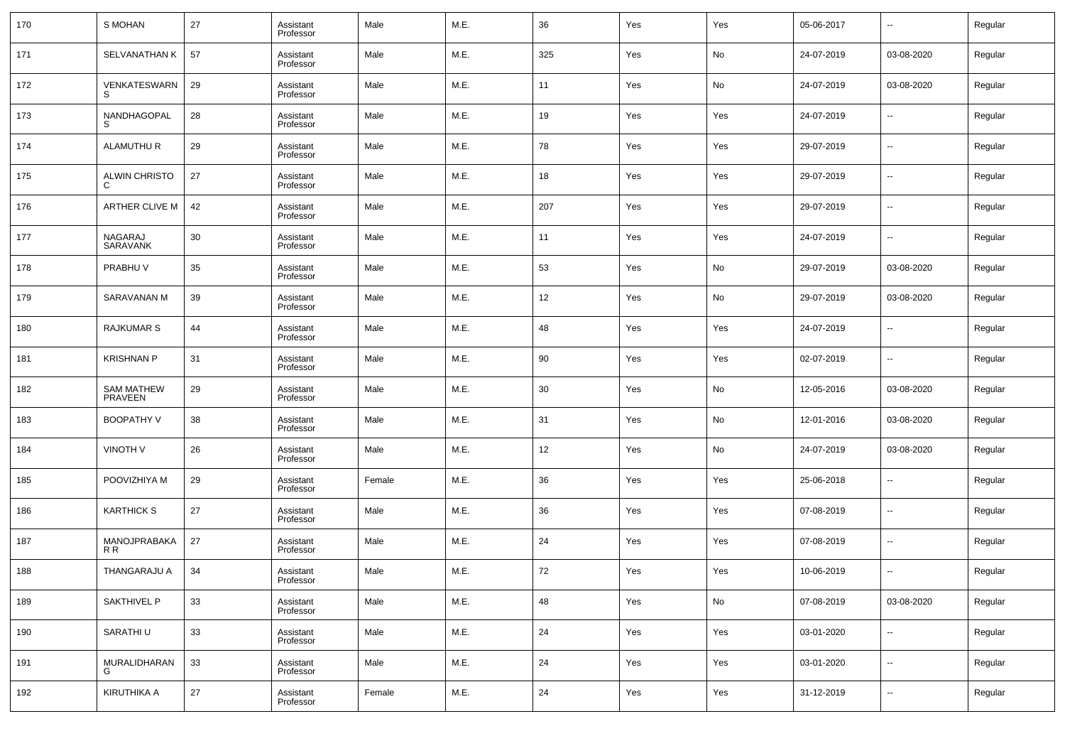| 170 | S MOHAN                             | 27 | Assistant<br>Professor | Male   | M.E. | 36  | Yes | Yes | 05-06-2017 | $\overline{\phantom{a}}$ | Regular |
|-----|-------------------------------------|----|------------------------|--------|------|-----|-----|-----|------------|--------------------------|---------|
| 171 | <b>SELVANATHAN K</b>                | 57 | Assistant<br>Professor | Male   | M.E. | 325 | Yes | No  | 24-07-2019 | 03-08-2020               | Regular |
| 172 | VENKATESWARN<br>S                   | 29 | Assistant<br>Professor | Male   | M.E. | 11  | Yes | No  | 24-07-2019 | 03-08-2020               | Regular |
| 173 | NANDHAGOPAL                         | 28 | Assistant<br>Professor | Male   | M.E. | 19  | Yes | Yes | 24-07-2019 | $\overline{\phantom{a}}$ | Regular |
| 174 | <b>ALAMUTHU R</b>                   | 29 | Assistant<br>Professor | Male   | M.E. | 78  | Yes | Yes | 29-07-2019 | $\overline{\phantom{a}}$ | Regular |
| 175 | <b>ALWIN CHRISTO</b>                | 27 | Assistant<br>Professor | Male   | M.E. | 18  | Yes | Yes | 29-07-2019 | $\overline{\phantom{a}}$ | Regular |
| 176 | ARTHER CLIVE M                      | 42 | Assistant<br>Professor | Male   | M.E. | 207 | Yes | Yes | 29-07-2019 | $\overline{\phantom{a}}$ | Regular |
| 177 | NAGARAJ<br>SARAVANK                 | 30 | Assistant<br>Professor | Male   | M.E. | 11  | Yes | Yes | 24-07-2019 | $\overline{\phantom{a}}$ | Regular |
| 178 | PRABHU V                            | 35 | Assistant<br>Professor | Male   | M.E. | 53  | Yes | No  | 29-07-2019 | 03-08-2020               | Regular |
| 179 | SARAVANAN M                         | 39 | Assistant<br>Professor | Male   | M.E. | 12  | Yes | No  | 29-07-2019 | 03-08-2020               | Regular |
| 180 | <b>RAJKUMAR S</b>                   | 44 | Assistant<br>Professor | Male   | M.E. | 48  | Yes | Yes | 24-07-2019 | $\overline{\phantom{a}}$ | Regular |
| 181 | <b>KRISHNAN P</b>                   | 31 | Assistant<br>Professor | Male   | M.E. | 90  | Yes | Yes | 02-07-2019 | $\overline{\phantom{a}}$ | Regular |
| 182 | <b>SAM MATHEW</b><br><b>PRAVEEN</b> | 29 | Assistant<br>Professor | Male   | M.E. | 30  | Yes | No  | 12-05-2016 | 03-08-2020               | Regular |
| 183 | <b>BOOPATHY V</b>                   | 38 | Assistant<br>Professor | Male   | M.E. | 31  | Yes | No  | 12-01-2016 | 03-08-2020               | Regular |
| 184 | <b>VINOTH V</b>                     | 26 | Assistant<br>Professor | Male   | M.E. | 12  | Yes | No  | 24-07-2019 | 03-08-2020               | Regular |
| 185 | POOVIZHIYA M                        | 29 | Assistant<br>Professor | Female | M.E. | 36  | Yes | Yes | 25-06-2018 | $\overline{\phantom{a}}$ | Regular |
| 186 | <b>KARTHICK S</b>                   | 27 | Assistant<br>Professor | Male   | M.E. | 36  | Yes | Yes | 07-08-2019 | $\overline{\phantom{a}}$ | Regular |
| 187 | MANOJPRABAKA<br>R R                 | 27 | Assistant<br>Professor | Male   | M.E. | 24  | Yes | Yes | 07-08-2019 | $\overline{\phantom{a}}$ | Regular |
| 188 | THANGARAJU A                        | 34 | Assistant<br>Professor | Male   | M.E. | 72  | Yes | Yes | 10-06-2019 | $\overline{\phantom{a}}$ | Regular |
| 189 | <b>SAKTHIVEL P</b>                  | 33 | Assistant<br>Professor | Male   | M.E. | 48  | Yes | No  | 07-08-2019 | 03-08-2020               | Regular |
| 190 | SARATHI U                           | 33 | Assistant<br>Professor | Male   | M.E. | 24  | Yes | Yes | 03-01-2020 | $\overline{\phantom{a}}$ | Regular |
| 191 | MURALIDHARAN<br>G                   | 33 | Assistant<br>Professor | Male   | M.E. | 24  | Yes | Yes | 03-01-2020 | $\overline{\phantom{a}}$ | Regular |
| 192 | KIRUTHIKA A                         | 27 | Assistant<br>Professor | Female | M.E. | 24  | Yes | Yes | 31-12-2019 | ۰.                       | Regular |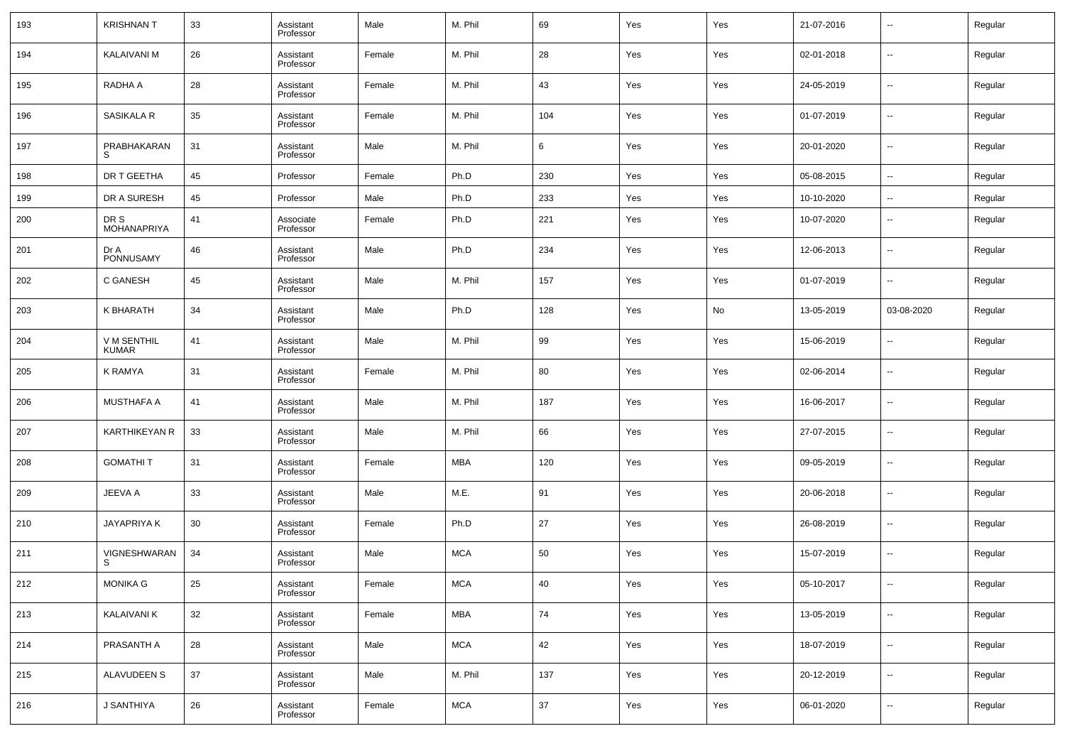| 193 | <b>KRISHNAN T</b>           | 33 | Assistant<br>Professor | Male   | M. Phil    | 69  | Yes | Yes | 21-07-2016 | $\overline{\phantom{a}}$ | Regular |
|-----|-----------------------------|----|------------------------|--------|------------|-----|-----|-----|------------|--------------------------|---------|
| 194 | <b>KALAIVANI M</b>          | 26 | Assistant<br>Professor | Female | M. Phil    | 28  | Yes | Yes | 02-01-2018 | $\overline{\phantom{a}}$ | Regular |
| 195 | RADHA A                     | 28 | Assistant<br>Professor | Female | M. Phil    | 43  | Yes | Yes | 24-05-2019 | $\overline{\phantom{a}}$ | Regular |
| 196 | SASIKALA R                  | 35 | Assistant<br>Professor | Female | M. Phil    | 104 | Yes | Yes | 01-07-2019 | $\overline{\phantom{a}}$ | Regular |
| 197 | PRABHAKARAN<br>S            | 31 | Assistant<br>Professor | Male   | M. Phil    | 6   | Yes | Yes | 20-01-2020 | $\overline{\phantom{a}}$ | Regular |
| 198 | DR T GEETHA                 | 45 | Professor              | Female | Ph.D       | 230 | Yes | Yes | 05-08-2015 | $\overline{\phantom{a}}$ | Regular |
| 199 | DR A SURESH                 | 45 | Professor              | Male   | Ph.D       | 233 | Yes | Yes | 10-10-2020 | $\overline{\phantom{a}}$ | Regular |
| 200 | DR S<br>MOHANAPRIYA         | 41 | Associate<br>Professor | Female | Ph.D       | 221 | Yes | Yes | 10-07-2020 | --                       | Regular |
| 201 | Dr A<br>PONNUSAMY           | 46 | Assistant<br>Professor | Male   | Ph.D       | 234 | Yes | Yes | 12-06-2013 | $\overline{\phantom{a}}$ | Regular |
| 202 | C GANESH                    | 45 | Assistant<br>Professor | Male   | M. Phil    | 157 | Yes | Yes | 01-07-2019 | $\overline{\phantom{a}}$ | Regular |
| 203 | K BHARATH                   | 34 | Assistant<br>Professor | Male   | Ph.D       | 128 | Yes | No  | 13-05-2019 | 03-08-2020               | Regular |
| 204 | V M SENTHIL<br><b>KUMAR</b> | 41 | Assistant<br>Professor | Male   | M. Phil    | 99  | Yes | Yes | 15-06-2019 | $\overline{\phantom{a}}$ | Regular |
| 205 | <b>K RAMYA</b>              | 31 | Assistant<br>Professor | Female | M. Phil    | 80  | Yes | Yes | 02-06-2014 | $\overline{\phantom{a}}$ | Regular |
| 206 | <b>MUSTHAFA A</b>           | 41 | Assistant<br>Professor | Male   | M. Phil    | 187 | Yes | Yes | 16-06-2017 | $\overline{\phantom{a}}$ | Regular |
| 207 | <b>KARTHIKEYAN R</b>        | 33 | Assistant<br>Professor | Male   | M. Phil    | 66  | Yes | Yes | 27-07-2015 | $\sim$                   | Regular |
| 208 | <b>GOMATHIT</b>             | 31 | Assistant<br>Professor | Female | MBA        | 120 | Yes | Yes | 09-05-2019 | $\overline{\phantom{a}}$ | Regular |
| 209 | JEEVA A                     | 33 | Assistant<br>Professor | Male   | M.E.       | 91  | Yes | Yes | 20-06-2018 | $\overline{\phantom{a}}$ | Regular |
| 210 | JAYAPRIYA K                 | 30 | Assistant<br>Professor | Female | Ph.D       | 27  | Yes | Yes | 26-08-2019 | $\sim$                   | Regular |
| 211 | VIGNESHWARAN<br>S           | 34 | Assistant<br>Professor | Male   | <b>MCA</b> | 50  | Yes | Yes | 15-07-2019 | $\overline{\phantom{a}}$ | Regular |
| 212 | MONIKA G                    | 25 | Assistant<br>Professor | Female | MCA        | 40  | Yes | Yes | 05-10-2017 | $\overline{\phantom{a}}$ | Regular |
| 213 | <b>KALAIVANI K</b>          | 32 | Assistant<br>Professor | Female | MBA        | 74  | Yes | Yes | 13-05-2019 | $\overline{\phantom{a}}$ | Regular |
| 214 | PRASANTH A                  | 28 | Assistant<br>Professor | Male   | <b>MCA</b> | 42  | Yes | Yes | 18-07-2019 | $\overline{\phantom{a}}$ | Regular |
| 215 | ALAVUDEEN S                 | 37 | Assistant<br>Professor | Male   | M. Phil    | 137 | Yes | Yes | 20-12-2019 | $\overline{\phantom{a}}$ | Regular |
| 216 | J SANTHIYA                  | 26 | Assistant<br>Professor | Female | <b>MCA</b> | 37  | Yes | Yes | 06-01-2020 | ۰.                       | Regular |